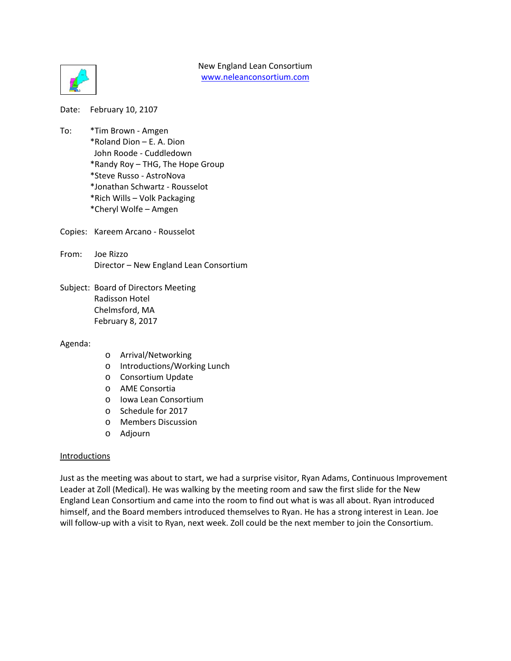

Date: February 10, 2107

- To: \*Tim Brown Amgen \*Roland Dion – E. A. Dion John Roode - Cuddledown \*Randy Roy – THG, The Hope Group \*Steve Russo - AstroNova \*Jonathan Schwartz - Rousselot \*Rich Wills – Volk Packaging \*Cheryl Wolfe – Amgen
- Copies: Kareem Arcano Rousselot
- From: Joe Rizzo Director – New England Lean Consortium
- Subject: Board of Directors Meeting Radisson Hotel Chelmsford, MA February 8, 2017

## Agenda:

- o Arrival/Networking
- o Introductions/Working Lunch
- o Consortium Update
- o AME Consortia
- o Iowa Lean Consortium
- o Schedule for 2017
- o Members Discussion
- o Adjourn

### **Introductions**

Just as the meeting was about to start, we had a surprise visitor, Ryan Adams, Continuous Improvement Leader at Zoll (Medical). He was walking by the meeting room and saw the first slide for the New England Lean Consortium and came into the room to find out what is was all about. Ryan introduced himself, and the Board members introduced themselves to Ryan. He has a strong interest in Lean. Joe will follow-up with a visit to Ryan, next week. Zoll could be the next member to join the Consortium.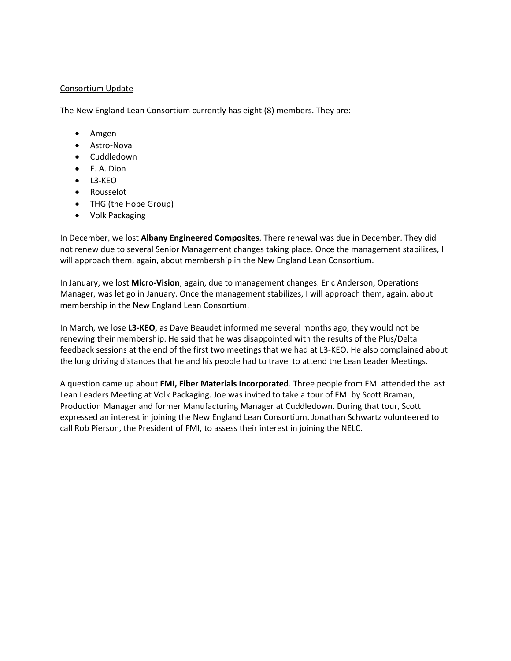## Consortium Update

The New England Lean Consortium currently has eight (8) members. They are:

- Amgen
- Astro-Nova
- Cuddledown
- E. A. Dion
- L3-KEO
- Rousselot
- THG (the Hope Group)
- Volk Packaging

In December, we lost **Albany Engineered Composites**. There renewal was due in December. They did not renew due to several Senior Management changes taking place. Once the management stabilizes, I will approach them, again, about membership in the New England Lean Consortium.

In January, we lost **Micro-Vision**, again, due to management changes. Eric Anderson, Operations Manager, was let go in January. Once the management stabilizes, I will approach them, again, about membership in the New England Lean Consortium.

In March, we lose **L3-KEO**, as Dave Beaudet informed me several months ago, they would not be renewing their membership. He said that he was disappointed with the results of the Plus/Delta feedback sessions at the end of the first two meetings that we had at L3-KEO. He also complained about the long driving distances that he and his people had to travel to attend the Lean Leader Meetings.

A question came up about **FMI, Fiber Materials Incorporated**. Three people from FMI attended the last Lean Leaders Meeting at Volk Packaging. Joe was invited to take a tour of FMI by Scott Braman, Production Manager and former Manufacturing Manager at Cuddledown. During that tour, Scott expressed an interest in joining the New England Lean Consortium. Jonathan Schwartz volunteered to call Rob Pierson, the President of FMI, to assess their interest in joining the NELC.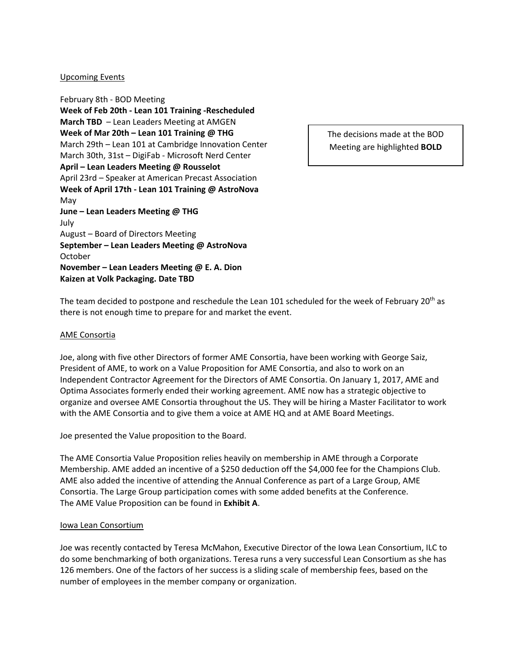### Upcoming Events

February 8th - BOD Meeting **Week of Feb 20th - Lean 101 Training -Rescheduled March TBD** – Lean Leaders Meeting at AMGEN **Week of Mar 20th – Lean 101 Training @ THG** March 29th – Lean 101 at Cambridge Innovation Center March 30th, 31st – DigiFab - Microsoft Nerd Center **April – Lean Leaders Meeting @ Rousselot** April 23rd – Speaker at American Precast Association **Week of April 17th - Lean 101 Training @ AstroNova** May **June – Lean Leaders Meeting @ THG** July August – Board of Directors Meeting **September – Lean Leaders Meeting @ AstroNova** October **November – Lean Leaders Meeting @ E. A. Dion Kaizen at Volk Packaging. Date TBD**

The decisions made at the BOD Meeting are highlighted **BOLD**

The team decided to postpone and reschedule the Lean 101 scheduled for the week of February 20<sup>th</sup> as there is not enough time to prepare for and market the event.

### AME Consortia

Joe, along with five other Directors of former AME Consortia, have been working with George Saiz, President of AME, to work on a Value Proposition for AME Consortia, and also to work on an Independent Contractor Agreement for the Directors of AME Consortia. On January 1, 2017, AME and Optima Associates formerly ended their working agreement. AME now has a strategic objective to organize and oversee AME Consortia throughout the US. They will be hiring a Master Facilitator to work with the AME Consortia and to give them a voice at AME HQ and at AME Board Meetings.

Joe presented the Value proposition to the Board.

The AME Consortia Value Proposition relies heavily on membership in AME through a Corporate Membership. AME added an incentive of a \$250 deduction off the \$4,000 fee for the Champions Club. AME also added the incentive of attending the Annual Conference as part of a Large Group, AME Consortia. The Large Group participation comes with some added benefits at the Conference. The AME Value Proposition can be found in **Exhibit A**.

### Iowa Lean Consortium

Joe was recently contacted by Teresa McMahon, Executive Director of the Iowa Lean Consortium, ILC to do some benchmarking of both organizations. Teresa runs a very successful Lean Consortium as she has 126 members. One of the factors of her success is a sliding scale of membership fees, based on the number of employees in the member company or organization.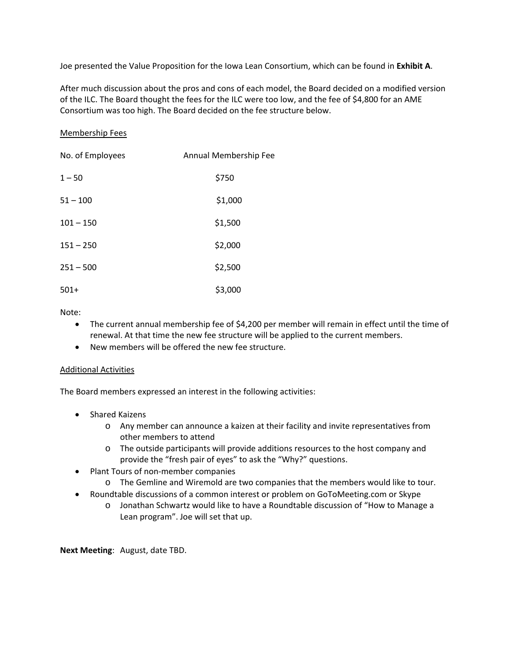Joe presented the Value Proposition for the Iowa Lean Consortium, which can be found in **Exhibit A**.

After much discussion about the pros and cons of each model, the Board decided on a modified version of the ILC. The Board thought the fees for the ILC were too low, and the fee of \$4,800 for an AME Consortium was too high. The Board decided on the fee structure below.

## Membership Fees

| No. of Employees | Annual Membership Fee |
|------------------|-----------------------|
| $1 - 50$         | \$750                 |
| $51 - 100$       | \$1,000               |
| $101 - 150$      | \$1,500               |
| $151 - 250$      | \$2,000               |
| $251 - 500$      | \$2,500               |
| $501+$           | \$3,000               |

Note:

- The current annual membership fee of \$4,200 per member will remain in effect until the time of renewal. At that time the new fee structure will be applied to the current members.
- New members will be offered the new fee structure.

## Additional Activities

The Board members expressed an interest in the following activities:

- Shared Kaizens
	- o Any member can announce a kaizen at their facility and invite representatives from other members to attend
	- o The outside participants will provide additions resources to the host company and provide the "fresh pair of eyes" to ask the "Why?" questions.
- Plant Tours of non-member companies
	- o The Gemline and Wiremold are two companies that the members would like to tour.
- Roundtable discussions of a common interest or problem on GoToMeeting.com or Skype
	- o Jonathan Schwartz would like to have a Roundtable discussion of "How to Manage a Lean program". Joe will set that up.

**Next Meeting**: August, date TBD.